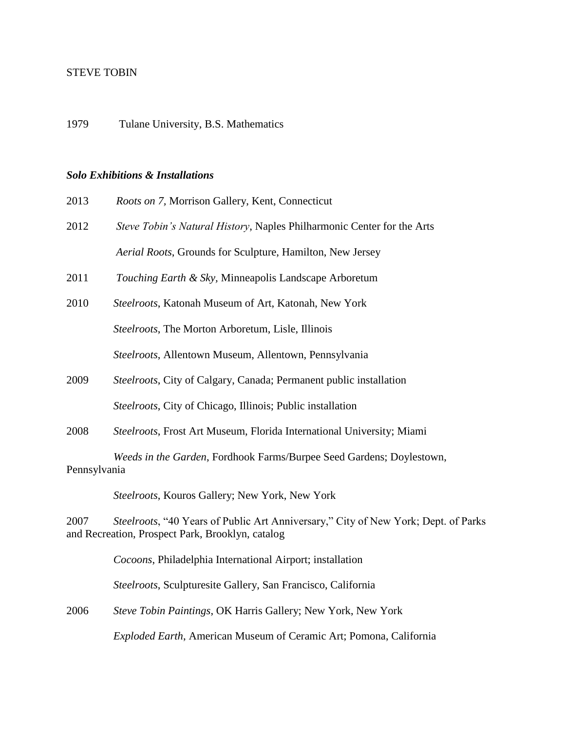## STEVE TOBIN

1979 Tulane University, B.S. Mathematics

## *Solo Exhibitions & Installations*

| 2013 |  |  | <i>Roots on 7, Morrison Gallery, Kent, Connecticut</i> |
|------|--|--|--------------------------------------------------------|
|      |  |  |                                                        |

- 2012 *Steve Tobin's Natural History*, Naples Philharmonic Center for the Arts  *Aerial Roots*, Grounds for Sculpture, Hamilton, New Jersey
- 2011 *Touching Earth & Sky,* Minneapolis Landscape Arboretum
- 2010 *Steelroots*, Katonah Museum of Art, Katonah, New York  *Steelroots*, The Morton Arboretum, Lisle, Illinois  *Steelroots*, Allentown Museum, Allentown, Pennsylvania
- 2009 *Steelroots*, City of Calgary, Canada; Permanent public installation  *Steelroots*, City of Chicago, Illinois; Public installation
- 2008 *Steelroots*, Frost Art Museum, Florida International University; Miami

 *Weeds in the Garden*, Fordhook Farms/Burpee Seed Gardens; Doylestown, Pennsylvania

 *Steelroots*, Kouros Gallery; New York, New York

2007 *Steelroots*, "40 Years of Public Art Anniversary," City of New York; Dept. of Parks and Recreation, Prospect Park, Brooklyn, catalog

 *Cocoons*, Philadelphia International Airport; installation

 *Steelroots*, Sculpturesite Gallery, San Francisco, California

2006 *Steve Tobin Paintings*, OK Harris Gallery; New York, New York

 *Exploded Earth*, American Museum of Ceramic Art; Pomona, California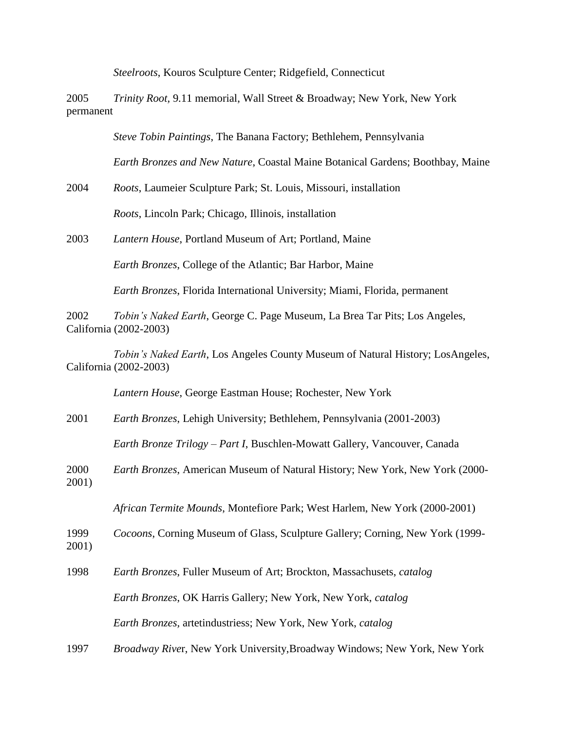*Steelroots*, Kouros Sculpture Center; Ridgefield, Connecticut

2005 *Trinity Root,* 9.11 memorial, Wall Street & Broadway; New York, New York permanent

 *Steve Tobin Paintings*, The Banana Factory; Bethlehem, Pennsylvania

 *Earth Bronzes and New Nature*, Coastal Maine Botanical Gardens; Boothbay, Maine

2004 *Roots*, Laumeier Sculpture Park; St. Louis, Missouri, installation

 *Roots*, Lincoln Park; Chicago, Illinois, installation

2003 *Lantern House*, Portland Museum of Art; Portland, Maine

 *Earth Bronzes*, College of the Atlantic; Bar Harbor, Maine

 *Earth Bronzes*, Florida International University; Miami, Florida, permanent

2002 *Tobin's Naked Earth*, George C. Page Museum, La Brea Tar Pits; Los Angeles, California (2002-2003)

 *Tobin's Naked Earth*, Los Angeles County Museum of Natural History; LosAngeles, California (2002-2003)

 *Lantern House*, George Eastman House; Rochester, New York

2001 *Earth Bronzes*, Lehigh University; Bethlehem, Pennsylvania (2001-2003)

 *Earth Bronze Trilogy – Part I*, Buschlen-Mowatt Gallery, Vancouver, Canada

2000 *Earth Bronzes*, American Museum of Natural History; New York, New York (2000- 2001)

 *African Termite Mounds*, Montefiore Park; West Harlem, New York (2000-2001)

1999 *Cocoons*, Corning Museum of Glass, Sculpture Gallery; Corning, New York (1999-

- 2001)
- 1998 *Earth Bronzes*, Fuller Museum of Art; Brockton, Massachusets, *catalog Earth Bronzes*, OK Harris Gallery; New York, New York, *catalog Earth Bronzes,* artetindustriess; New York, New York, *catalog*
- 1997 *Broadway Rive*r, New York University,Broadway Windows; New York, New York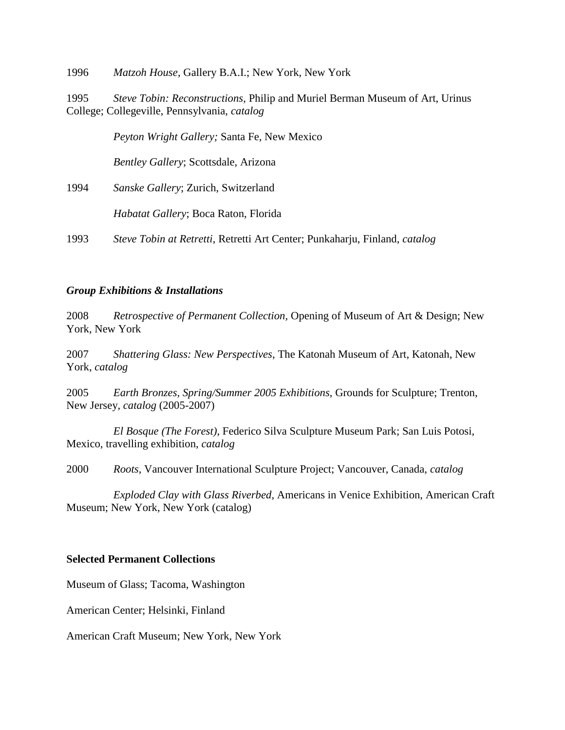1996 *Matzoh House*, Gallery B.A.I.; New York, New York

1995 *Steve Tobin: Reconstructions*, Philip and Muriel Berman Museum of Art, Urinus College; Collegeville, Pennsylvania, *catalog*

 *Peyton Wright Gallery;* Santa Fe, New Mexico

 *Bentley Gallery*; Scottsdale, Arizona

1994 *Sanske Gallery*; Zurich, Switzerland

 *Habatat Gallery*; Boca Raton, Florida

1993 *Steve Tobin at Retretti*, Retretti Art Center; Punkaharju, Finland, *catalog*

## *Group Exhibitions & Installations*

2008 *Retrospective of Permanent Collection,* Opening of Museum of Art & Design; New York, New York

2007 *Shattering Glass: New Perspectives*, The Katonah Museum of Art, Katonah, New York, *catalog*

2005 *Earth Bronzes, Spring/Summer 2005 Exhibitions*, Grounds for Sculpture; Trenton, New Jersey, *catalog* (2005-2007)

 *El Bosque (The Forest)*, Federico Silva Sculpture Museum Park; San Luis Potosi, Mexico, travelling exhibition, *catalog*

2000 *Roots,* Vancouver International Sculpture Project; Vancouver, Canada, *catalog*

 *Exploded Clay with Glass Riverbed,* Americans in Venice Exhibition, American Craft Museum; New York, New York (catalog)

## **Selected Permanent Collections**

Museum of Glass; Tacoma, Washington

American Center; Helsinki, Finland

American Craft Museum; New York, New York